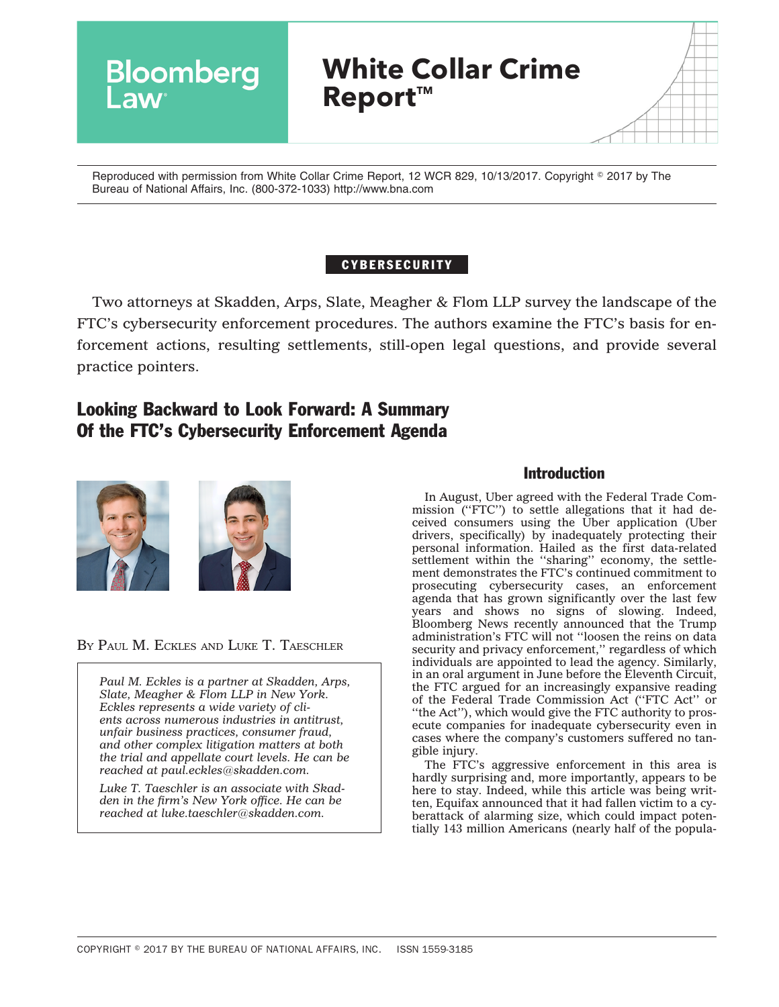

Reproduced with permission from White Collar Crime Report, 12 WCR 829, 10/13/2017. Copyright © 2017 by The Bureau of National Affairs, Inc. (800-372-1033) http://www.bna.com

# CYBERSECURITY

Two attorneys at Skadden, Arps, Slate, Meagher & Flom LLP survey the landscape of the FTC's cybersecurity enforcement procedures. The authors examine the FTC's basis for enforcement actions, resulting settlements, still-open legal questions, and provide several practice pointers.

# Looking Backward to Look Forward: A Summary Of the FTC's Cybersecurity Enforcement Agenda





BY PAUL M. ECKLES AND LUKE T. TAESCHLER

*Paul M. Eckles is a partner at Skadden, Arps, Slate, Meagher & Flom LLP in New York. Eckles represents a wide variety of clients across numerous industries in antitrust, unfair business practices, consumer fraud, and other complex litigation matters at both the trial and appellate court levels. He can be reached at [paul.eckles@skadden.com.](mailto:paul.eckles@skadden.com)*

*Luke T. Taeschler is an associate with Skadden in the firm's New York office. He can be reached at [luke.taeschler@skadden.com.](mailto:luke.taeschler@skadden.com)*

### Introduction

In August, Uber agreed with the Federal Trade Commission (''FTC'') to settle allegations that it had deceived consumers using the Uber application (Uber drivers, specifically) by inadequately protecting their personal information. Hailed as the first data-related settlement within the "sharing" economy, the settlement demonstrates the FTC's continued commitment to prosecuting cybersecurity cases, an enforcement agenda that has grown significantly over the last few years and shows no signs of slowing. Indeed, Bloomberg News recently announced that the Trump administration's FTC will not ''loosen the reins on data security and privacy enforcement," regardless of which individuals are appointed to lead the agency. Similarly, in an oral argument in June before the Eleventh Circuit, the FTC argued for an increasingly expansive reading of the Federal Trade Commission Act (''FTC Act'' or "the Act"), which would give the FTC authority to prosecute companies for inadequate cybersecurity even in cases where the company's customers suffered no tangible injury.

The FTC's aggressive enforcement in this area is hardly surprising and, more importantly, appears to be here to stay. Indeed, while this article was being written, Equifax announced that it had fallen victim to a cyberattack of alarming size, which could impact potentially 143 million Americans (nearly half of the popula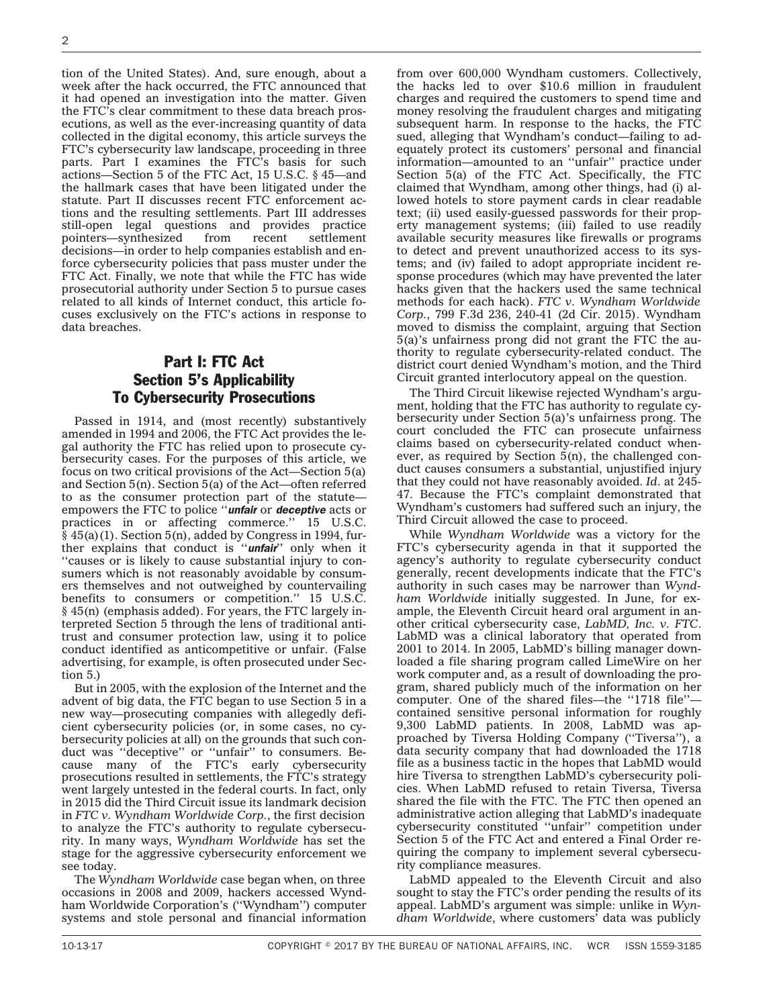tion of the United States). And, sure enough, about a week after the hack occurred, the FTC announced that it had opened an investigation into the matter. Given the FTC's clear commitment to these data breach prosecutions, as well as the ever-increasing quantity of data collected in the digital economy, this article surveys the FTC's cybersecurity law landscape, proceeding in three parts. Part I examines the FTC's basis for such actions—Section 5 of the FTC Act, 15 U.S.C. § 45—and the hallmark cases that have been litigated under the statute. Part II discusses recent FTC enforcement actions and the resulting settlements. Part III addresses still-open legal questions and provides practice pointers—synthesized from recent settlement decisions—in order to help companies establish and enforce cybersecurity policies that pass muster under the FTC Act. Finally, we note that while the FTC has wide prosecutorial authority under Section 5 to pursue cases related to all kinds of Internet conduct, this article focuses exclusively on the FTC's actions in response to data breaches.

# Part I: FTC Act Section 5's Applicability To Cybersecurity Prosecutions

Passed in 1914, and (most recently) substantively amended in 1994 and 2006, the FTC Act provides the legal authority the FTC has relied upon to prosecute cybersecurity cases. For the purposes of this article, we focus on two critical provisions of the Act—Section 5(a) and Section 5(n). Section 5(a) of the Act—often referred to as the consumer protection part of the statute empowers the FTC to police ''*unfair* or *deceptive* acts or practices in or affecting commerce.'' 15 U.S.C.  $§$  45(a)(1). Section 5(n), added by Congress in 1994, further explains that conduct is ''*unfair*'' only when it ''causes or is likely to cause substantial injury to consumers which is not reasonably avoidable by consumers themselves and not outweighed by countervailing benefits to consumers or competition.'' 15 U.S.C. § 45(n) (emphasis added). For years, the FTC largely interpreted Section 5 through the lens of traditional antitrust and consumer protection law, using it to police conduct identified as anticompetitive or unfair. (False advertising, for example, is often prosecuted under Section 5.)

But in 2005, with the explosion of the Internet and the advent of big data, the FTC began to use Section 5 in a new way—prosecuting companies with allegedly deficient cybersecurity policies (or, in some cases, no cybersecurity policies at all) on the grounds that such conduct was ''deceptive'' or ''unfair'' to consumers. Because many of the FTC's early cybersecurity prosecutions resulted in settlements, the FTC's strategy went largely untested in the federal courts. In fact, only in 2015 did the Third Circuit issue its landmark decision in *FTC v. Wyndham Worldwide Corp.*, the first decision to analyze the FTC's authority to regulate cybersecurity. In many ways, *Wyndham Worldwide* has set the stage for the aggressive cybersecurity enforcement we see today.

The *Wyndham Worldwide* case began when, on three occasions in 2008 and 2009, hackers accessed Wyndham Worldwide Corporation's (''Wyndham'') computer systems and stole personal and financial information from over 600,000 Wyndham customers. Collectively, the hacks led to over \$10.6 million in fraudulent charges and required the customers to spend time and money resolving the fraudulent charges and mitigating subsequent harm. In response to the hacks, the FTC sued, alleging that Wyndham's conduct—failing to adequately protect its customers' personal and financial information—amounted to an ''unfair'' practice under Section 5(a) of the FTC Act. Specifically, the FTC claimed that Wyndham, among other things, had (i) allowed hotels to store payment cards in clear readable text; (ii) used easily-guessed passwords for their property management systems; (iii) failed to use readily available security measures like firewalls or programs to detect and prevent unauthorized access to its systems; and (iv) failed to adopt appropriate incident response procedures (which may have prevented the later hacks given that the hackers used the same technical methods for each hack). *FTC v. Wyndham Worldwide Corp.*, 799 F.3d 236, 240-41 (2d Cir. 2015). Wyndham moved to dismiss the complaint, arguing that Section 5(a)'s unfairness prong did not grant the FTC the authority to regulate cybersecurity-related conduct. The district court denied Wyndham's motion, and the Third Circuit granted interlocutory appeal on the question.

The Third Circuit likewise rejected Wyndham's argument, holding that the FTC has authority to regulate cybersecurity under Section 5(a)'s unfairness prong. The court concluded the FTC can prosecute unfairness claims based on cybersecurity-related conduct whenever, as required by Section 5(n), the challenged conduct causes consumers a substantial, unjustified injury that they could not have reasonably avoided. *Id*. at 245- 47. Because the FTC's complaint demonstrated that Wyndham's customers had suffered such an injury, the Third Circuit allowed the case to proceed.

While *Wyndham Worldwide* was a victory for the FTC's cybersecurity agenda in that it supported the agency's authority to regulate cybersecurity conduct generally, recent developments indicate that the FTC's authority in such cases may be narrower than *Wyndham Worldwide* initially suggested. In June, for example, the Eleventh Circuit heard oral argument in another critical cybersecurity case, *LabMD, Inc. v. FTC*. LabMD was a clinical laboratory that operated from 2001 to 2014. In 2005, LabMD's billing manager downloaded a file sharing program called LimeWire on her work computer and, as a result of downloading the program, shared publicly much of the information on her computer. One of the shared files—the ''1718 file'' contained sensitive personal information for roughly 9,300 LabMD patients. In 2008, LabMD was approached by Tiversa Holding Company (''Tiversa''), a data security company that had downloaded the 1718 file as a business tactic in the hopes that LabMD would hire Tiversa to strengthen LabMD's cybersecurity policies. When LabMD refused to retain Tiversa, Tiversa shared the file with the FTC. The FTC then opened an administrative action alleging that LabMD's inadequate cybersecurity constituted ''unfair'' competition under Section 5 of the FTC Act and entered a Final Order requiring the company to implement several cybersecurity compliance measures.

LabMD appealed to the Eleventh Circuit and also sought to stay the FTC's order pending the results of its appeal. LabMD's argument was simple: unlike in *Wyndham Worldwide*, where customers' data was publicly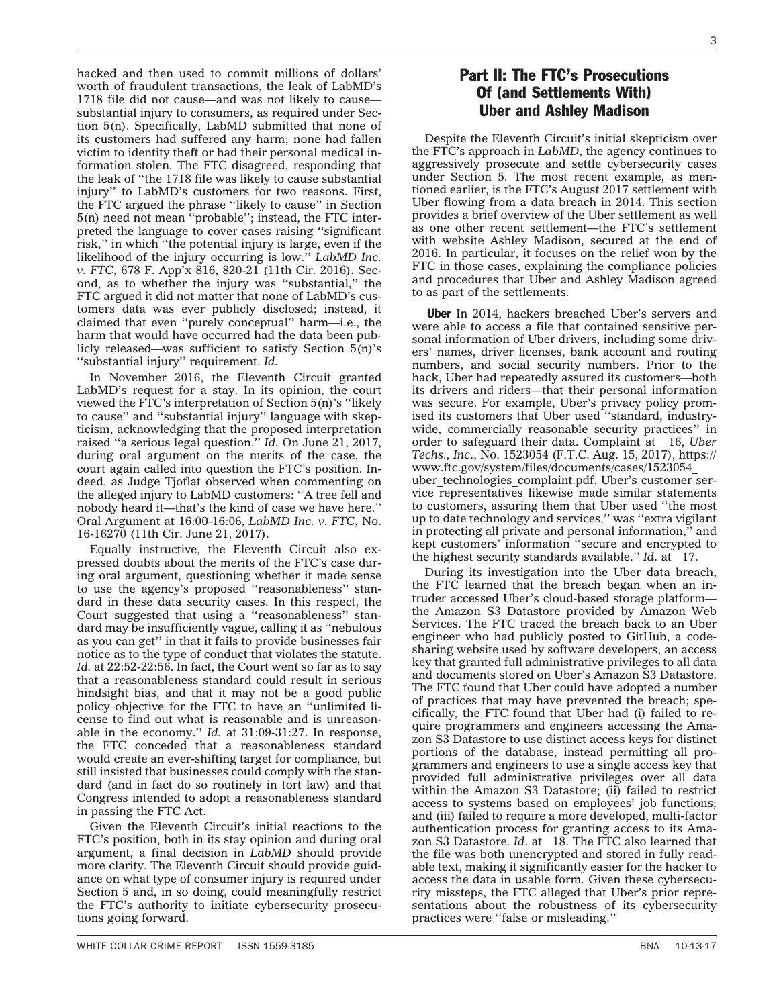hacked and then used to commit millions of dollars' worth of fraudulent transactions, the leak of LabMD's 1718 file did not cause—and was not likely to cause substantial injury to consumers, as required under Section 5(n). Specifically, LabMD submitted that none of its customers had suffered any harm; none had fallen victim to identity theft or had their personal medical information stolen. The FTC disagreed, responding that the leak of ''the 1718 file was likely to cause substantial injury'' to LabMD's customers for two reasons. First, the FTC argued the phrase ''likely to cause'' in Section 5(n) need not mean ''probable''; instead, the FTC interpreted the language to cover cases raising ''significant risk,'' in which ''the potential injury is large, even if the likelihood of the injury occurring is low.'' *LabMD Inc. v. FTC*, 678 F. App'x 816, 820-21 (11th Cir. 2016). Second, as to whether the injury was ''substantial,'' the FTC argued it did not matter that none of LabMD's customers data was ever publicly disclosed; instead, it claimed that even ''purely conceptual'' harm—i.e., the harm that would have occurred had the data been publicly released—was sufficient to satisfy Section 5(n)'s ''substantial injury'' requirement. *Id.*

In November 2016, the Eleventh Circuit granted LabMD's request for a stay. In its opinion, the court viewed the FTC's interpretation of Section 5(n)'s ''likely to cause'' and ''substantial injury'' language with skepticism, acknowledging that the proposed interpretation raised ''a serious legal question.'' *Id.* On June 21, 2017, during oral argument on the merits of the case, the court again called into question the FTC's position. Indeed, as Judge Tjoflat observed when commenting on the alleged injury to LabMD customers: ''A tree fell and nobody heard it—that's the kind of case we have here.'' [Oral Argument](http://www.ca11.uscourts.gov/oral-argument-recordings?title=&field_oar_case_name_value=labmd&field_oral_argument_date_value%5Bvalue%5D%5Byear%5D=&field_oral_argument_date_value%5Bvalue%5D%5Bmonth%5D=) at 16:00-16:06, *LabMD Inc. v. FTC*, No. 16-16270 (11th Cir. June 21, 2017).

Equally instructive, the Eleventh Circuit also expressed doubts about the merits of the FTC's case during oral argument, questioning whether it made sense to use the agency's proposed ''reasonableness'' standard in these data security cases. In this respect, the Court suggested that using a ''reasonableness'' standard may be insufficiently vague, calling it as ''nebulous as you can get'' in that it fails to provide businesses fair notice as to the type of conduct that violates the statute. Id. at 22:52-22:56. In fact, the Court went so far as to say that a reasonableness standard could result in serious hindsight bias, and that it may not be a good public policy objective for the FTC to have an ''unlimited license to find out what is reasonable and is unreasonable in the economy.'' *Id.* at 31:09-31:27. In response, the FTC conceded that a reasonableness standard would create an ever-shifting target for compliance, but still insisted that businesses could comply with the standard (and in fact do so routinely in tort law) and that Congress intended to adopt a reasonableness standard in passing the FTC Act.

Given the Eleventh Circuit's initial reactions to the FTC's position, both in its stay opinion and during oral argument, a final decision in *LabMD* should provide more clarity. The Eleventh Circuit should provide guidance on what type of consumer injury is required under Section 5 and, in so doing, could meaningfully restrict the FTC's authority to initiate cybersecurity prosecutions going forward.

## Part II: The FTC's Prosecutions Of (and Settlements With) Uber and Ashley Madison

Despite the Eleventh Circuit's initial skepticism over the FTC's approach in *LabMD*, the agency continues to aggressively prosecute and settle cybersecurity cases under Section 5. The most recent example, as mentioned earlier, is the FTC's August 2017 settlement with Uber flowing from a data breach in 2014. This section provides a brief overview of the Uber settlement as well as one other recent settlement—the FTC's settlement with website Ashley Madison, secured at the end of 2016. In particular, it focuses on the relief won by the FTC in those cases, explaining the compliance policies and procedures that Uber and Ashley Madison agreed to as part of the settlements.

Uber In 2014, hackers breached Uber's servers and were able to access a file that contained sensitive personal information of Uber drivers, including some drivers' names, driver licenses, bank account and routing numbers, and social security numbers. Prior to the hack, Uber had repeatedly assured its customers—both its drivers and riders—that their personal information was secure. For example, Uber's privacy policy promised its customers that Uber used ''standard, industrywide, commercially reasonable security practices'' in order to safeguard their data. Complaint at 16, *Uber Techs., Inc*., No. 1523054 (F.T.C. Aug. 15, 2017), [https://](https://www.ftc.gov/system/files/documents/cases/1523054_uber_technologies_complaint.pdf) [www.ftc.gov/system/files/documents/cases/1523054\\_](https://www.ftc.gov/system/files/documents/cases/1523054_uber_technologies_complaint.pdf) uber technologies complaint.pdf. Uber's customer service representatives likewise made similar statements to customers, assuring them that Uber used ''the most up to date technology and services,'' was ''extra vigilant in protecting all private and personal information,'' and kept customers' information ''secure and encrypted to the highest security standards available.'' *Id*. at 17.

During its investigation into the Uber data breach, the FTC learned that the breach began when an intruder accessed Uber's cloud-based storage platform the Amazon S3 Datastore provided by Amazon Web Services. The FTC traced the breach back to an Uber engineer who had publicly posted to GitHub, a codesharing website used by software developers, an access key that granted full administrative privileges to all data and documents stored on Uber's Amazon S3 Datastore. The FTC found that Uber could have adopted a number of practices that may have prevented the breach; specifically, the FTC found that Uber had (i) failed to require programmers and engineers accessing the Amazon S3 Datastore to use distinct access keys for distinct portions of the database, instead permitting all programmers and engineers to use a single access key that provided full administrative privileges over all data within the Amazon S3 Datastore; (ii) failed to restrict access to systems based on employees' job functions; and (iii) failed to require a more developed, multi-factor authentication process for granting access to its Amazon S3 Datastore. *Id*. at 18. The FTC also learned that the file was both unencrypted and stored in fully readable text, making it significantly easier for the hacker to access the data in usable form. Given these cybersecurity missteps, the FTC alleged that Uber's prior representations about the robustness of its cybersecurity practices were ''false or misleading.''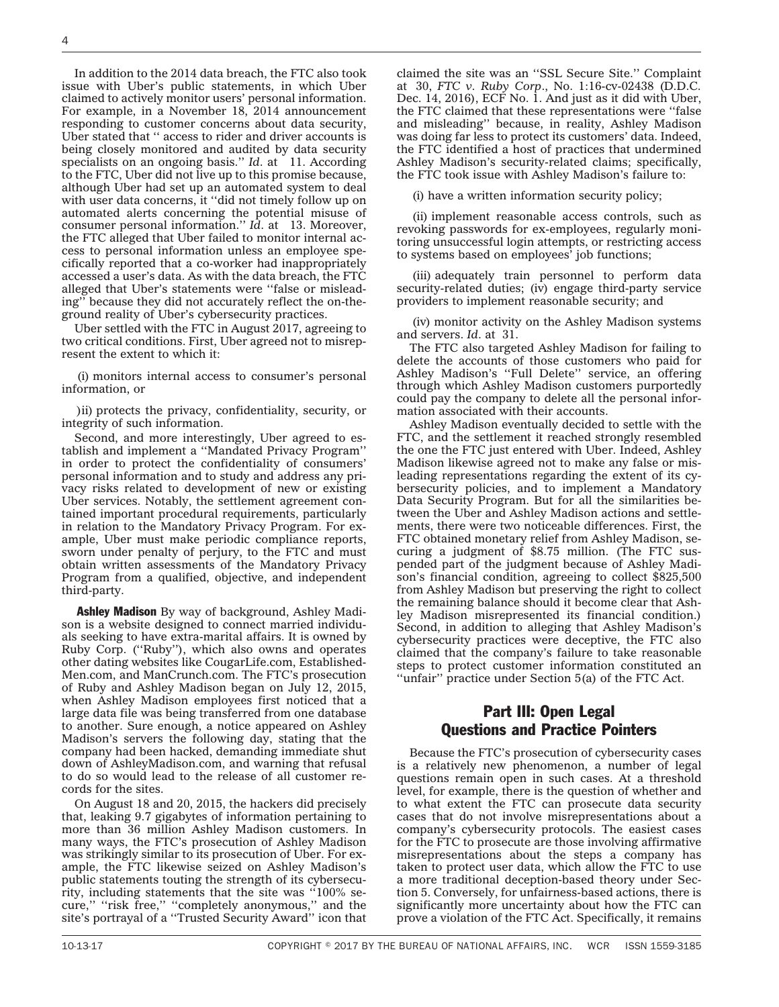In addition to the 2014 data breach, the FTC also took issue with Uber's public statements, in which Uber claimed to actively monitor users' personal information. For example, in a November 18, 2014 announcement responding to customer concerns about data security, Uber stated that '' access to rider and driver accounts is being closely monitored and audited by data security specialists on an ongoing basis." *Id.* at 11. According to the FTC, Uber did not live up to this promise because, although Uber had set up an automated system to deal with user data concerns, it ''did not timely follow up on automated alerts concerning the potential misuse of consumer personal information.'' *Id*. at 13. Moreover, the FTC alleged that Uber failed to monitor internal access to personal information unless an employee specifically reported that a co-worker had inappropriately accessed a user's data. As with the data breach, the FTC alleged that Uber's statements were ''false or misleading'' because they did not accurately reflect the on-theground reality of Uber's cybersecurity practices.

Uber settled with the FTC in August 2017, agreeing to two critical conditions. First, Uber agreed not to misrepresent the extent to which it:

(i) monitors internal access to consumer's personal information, or

)ii) protects the privacy, confidentiality, security, or integrity of such information.

Second, and more interestingly, Uber agreed to establish and implement a ''Mandated Privacy Program'' in order to protect the confidentiality of consumers' personal information and to study and address any privacy risks related to development of new or existing Uber services. Notably, the settlement agreement contained important procedural requirements, particularly in relation to the Mandatory Privacy Program. For example, Uber must make periodic compliance reports, sworn under penalty of perjury, to the FTC and must obtain written assessments of the Mandatory Privacy Program from a qualified, objective, and independent third-party.

Ashley Madison By way of background, Ashley Madison is a website designed to connect married individuals seeking to have extra-marital affairs. It is owned by Ruby Corp. (''Ruby''), which also owns and operates other dating websites like CougarLife.com, Established-Men.com, and ManCrunch.com. The FTC's prosecution of Ruby and Ashley Madison began on July 12, 2015, when Ashley Madison employees first noticed that a large data file was being transferred from one database to another. Sure enough, a notice appeared on Ashley Madison's servers the following day, stating that the company had been hacked, demanding immediate shut down of AshleyMadison.com, and warning that refusal to do so would lead to the release of all customer records for the sites.

On August 18 and 20, 2015, the hackers did precisely that, leaking 9.7 gigabytes of information pertaining to more than 36 million Ashley Madison customers. In many ways, the FTC's prosecution of Ashley Madison was strikingly similar to its prosecution of Uber. For example, the FTC likewise seized on Ashley Madison's public statements touting the strength of its cybersecurity, including statements that the site was ''100% secure,'' ''risk free,'' ''completely anonymous,'' and the site's portrayal of a ''Trusted Security Award'' icon that

claimed the site was an ''SSL Secure Site.'' Complaint at 30, *FTC v. Ruby Corp*., No. 1:16-cv-02438 (D.D.C. Dec. 14, 2016), ECF No. 1. And just as it did with Uber, the FTC claimed that these representations were ''false and misleading'' because, in reality, Ashley Madison was doing far less to protect its customers' data. Indeed, the FTC identified a host of practices that undermined Ashley Madison's security-related claims; specifically, the FTC took issue with Ashley Madison's failure to:

(i) have a written information security policy;

(ii) implement reasonable access controls, such as revoking passwords for ex-employees, regularly monitoring unsuccessful login attempts, or restricting access to systems based on employees' job functions;

(iii) adequately train personnel to perform data security-related duties; (iv) engage third-party service providers to implement reasonable security; and

(iv) monitor activity on the Ashley Madison systems and servers. *Id*. at 31.

The FTC also targeted Ashley Madison for failing to delete the accounts of those customers who paid for Ashley Madison's "Full Delete" service, an offering through which Ashley Madison customers purportedly could pay the company to delete all the personal information associated with their accounts.

Ashley Madison eventually decided to settle with the FTC, and the settlement it reached strongly resembled the one the FTC just entered with Uber. Indeed, Ashley Madison likewise agreed not to make any false or misleading representations regarding the extent of its cybersecurity policies, and to implement a Mandatory Data Security Program. But for all the similarities between the Uber and Ashley Madison actions and settlements, there were two noticeable differences. First, the FTC obtained monetary relief from Ashley Madison, securing a judgment of \$8.75 million. (The FTC suspended part of the judgment because of Ashley Madison's financial condition, agreeing to collect \$825,500 from Ashley Madison but preserving the right to collect the remaining balance should it become clear that Ashley Madison misrepresented its financial condition.) Second, in addition to alleging that Ashley Madison's cybersecurity practices were deceptive, the FTC also claimed that the company's failure to take reasonable steps to protect customer information constituted an ''unfair'' practice under Section 5(a) of the FTC Act.

#### Part III: Open Legal Questions and Practice Pointers

Because the FTC's prosecution of cybersecurity cases is a relatively new phenomenon, a number of legal questions remain open in such cases. At a threshold level, for example, there is the question of whether and to what extent the FTC can prosecute data security cases that do not involve misrepresentations about a company's cybersecurity protocols. The easiest cases for the FTC to prosecute are those involving affirmative misrepresentations about the steps a company has taken to protect user data, which allow the FTC to use a more traditional deception-based theory under Section 5. Conversely, for unfairness-based actions, there is significantly more uncertainty about how the FTC can prove a violation of the FTC Act. Specifically, it remains